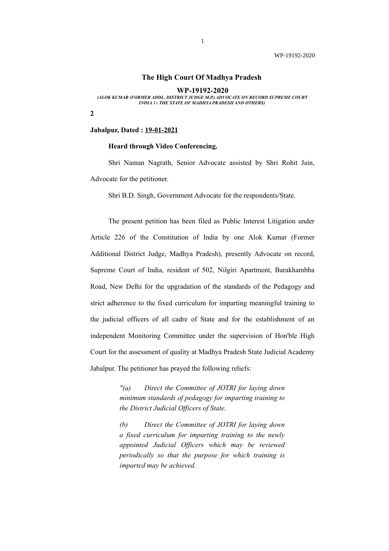## **The High Court Of Madhya Pradesh**

**WP-19192-2020**

*(ALOK KUMAR (FORMER ADDL. DISTRICT JUDGE M.P.) ADVOCATE ON RECORD SUPREME COURT INDIA Vs THE STATE OF MADHYA PRADESH AND OTHERS)*

**2** 

### **Jabalpur, Dated : 19-01-2021**

#### **Heard through Video Conferencing.**

Shri Naman Nagrath, Senior Advocate assisted by Shri Rohit Jain, Advocate for the petitioner.

Shri B.D. Singh, Government Advocate for the respondents/State.

The present petition has been filed as Public Interest Litigation under Article 226 of the Constitution of India by one Alok Kumar (Former Additional District Judge, Madhya Pradesh), presently Advocate on record, Supreme Court of India, resident of 502, Nilgiri Apartment, Barakhambha Road, New Delhi for the upgradation of the standards of the Pedagogy and strict adherence to the fixed curriculum for imparting meaningful training to the judicial officers of all cadre of State and for the establishment of an independent Monitoring Committee under the supervision of Hon'ble High Court for the assessment of quality at Madhya Pradesh State Judicial Academy Jabalpur. The petitioner has prayed the following reliefs:

> *"(a) Direct the Committee of JOTRI for laying down minimum standards of pedagogy for imparting training to the District Judicial Officers of State.*

> *(b) Direct the Committee of JOTRI for laying down a fixed curriculum for imparting training to the newly appointed Judicial Officers which may be reviewed periodically so that the purpose for which training is imparted may be achieved.*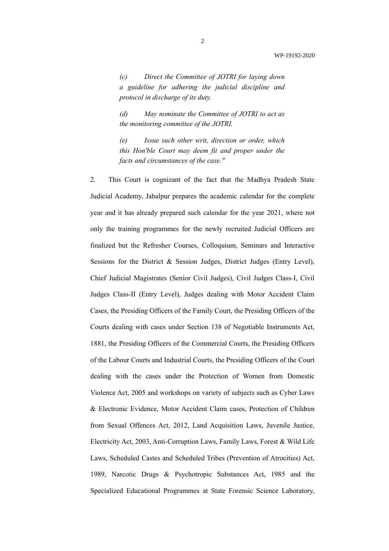*(c) Direct the Committee of JOTRI for laying down a guideline for adhering the judicial discipline and protocol in discharge of its duty.* 

*(d) May nominate the Committee of JOTRI to act as the monitoring committee of the JOTRI.* 

*(e) Issue such other writ, direction or order, which this Hon'ble Court may deem fit and proper under the facts and circumstances of the case."*

2. This Court is cognizant of the fact that the Madhya Pradesh State Judicial Academy, Jabalpur prepares the academic calendar for the complete year and it has already prepared such calendar for the year 2021, where not only the training programmes for the newly recruited Judicial Officers are finalized but the Refresher Courses, Colloquium, Seminars and Interactive Sessions for the District & Session Judges, District Judges (Entry Level), Chief Judicial Magistrates (Senior Civil Judges), Civil Judges Class-I, Civil Judges Class-II (Entry Level), Judges dealing with Motor Accident Claim Cases, the Presiding Officers of the Family Court, the Presiding Officers of the Courts dealing with cases under Section 138 of Negotiable Instruments Act, 1881, the Presiding Officers of the Commercial Courts, the Presiding Officers of the Labour Courts and Industrial Courts, the Presiding Officers of the Court dealing with the cases under the Protection of Women from Domestic Violence Act, 2005 and workshops on variety of subjects such as Cyber Laws & Electronic Evidence, Motor Accident Claim cases, Protection of Children from Sexual Offences Act, 2012, Land Acquisition Laws, Juvenile Justice, Electricity Act, 2003, Anti-Corruption Laws, Family Laws, Forest & Wild Life Laws, Scheduled Castes and Scheduled Tribes (Prevention of Atrocities) Act, 1989, Narcotic Drugs & Psychotropic Substances Act, 1985 and the Specialized Educational Programmes at State Forensic Science Laboratory,